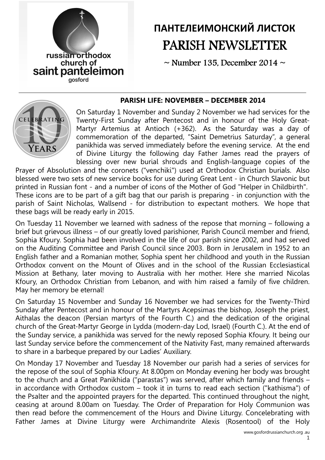

# ПАНТЕЛЕИМОНСКИЙ ЛИСТОК PARISH NEWSLETTER

 $\sim$  Number 135, December 2014  $\sim$ 

#### PARISH LIFE: NOVEMBER – DECEMBER 2014



On Saturday 1 November and Sunday 2 November we had services for the Twenty-First Sunday after Pentecost and in honour of the Holy Great-Martyr Artemius at Antioch (+362). As the Saturday was a day of commemoration of the departed, "Saint Demetrius Saturday", a general panikhida was served immediately before the evening service. At the end of Divine Liturgy the following day Father James read the prayers of blessing over new burial shrouds and English-language copies of the

Prayer of Absolution and the coronets ("venchiki") used at Orthodox Christian burials. Also blessed were two sets of new service books for use during Great Lent - in Church Slavonic but printed in Russian font - and a number of icons of the Mother of God "Helper in Childbirth". These icons are to be part of a gift bag that our parish is preparing - in conjunction with the parish of Saint Nicholas, Wallsend - for distribution to expectant mothers. We hope that these bags will be ready early in 2015.

On Tuesday 11 November we learned with sadness of the repose that morning – following a brief but grievous illness – of our greatly loved parishioner, Parish Council member and friend, Sophia Kfoury. Sophia had been involved in the life of our parish since 2002, and had served on the Auditing Committee and Parish Council since 2003. Born in Jerusalem in 1952 to an English father and a Romanian mother, Sophia spent her childhood and youth in the Russian Orthodox convent on the Mount of Olives and in the school of the Russian Ecclesiastical Mission at Bethany, later moving to Australia with her mother. Here she married Nicolas Kfoury, an Orthodox Christian from Lebanon, and with him raised a family of five children. May her memory be eternal!

On Saturday 15 November and Sunday 16 November we had services for the Twenty-Third Sunday after Pentecost and in honour of the Martyrs Acepsimas the bishop, Joseph the priest, Aithalas the deacon (Persian martyrs of the Fourth C.) and the dedication of the original church of the Great-Martyr George in Lydda (modern-day Lod, Israel) (Fourth C.). At the end of the Sunday service, a panikhida was served for the newly reposed Sophia Kfoury. It being our last Sunday service before the commencement of the Nativity Fast, many remained afterwards to share in a barbeque prepared by our Ladies' Auxiliary.

On Monday 17 November and Tuesday 18 November our parish had a series of services for the repose of the soul of Sophia Kfoury. At 8.00pm on Monday evening her body was brought to the church and a Great Panikhida ("parastas") was served, after which family and friends – in accordance with Orthodox custom – took it in turns to read each section ("kathisma") of the Psalter and the appointed prayers for the departed. This continued throughout the night, ceasing at around 8.00am on Tuesday. The Order of Preparation for Holy Communion was then read before the commencement of the Hours and Divine Liturgy. Concelebrating with Father James at Divine Liturgy were Archimandrite Alexis (Rosentool) of the Holy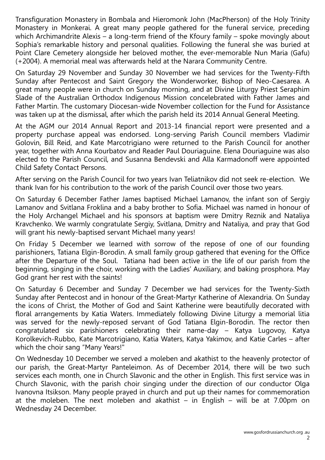Transfiguration Monastery in Bombala and Hieromonk John (MacPherson) of the Holy Trinity Monastery in Monkerai. A great many people gathered for the funeral service, preceding which Archimandrite Alexis – a long-term friend of the Kfoury family – spoke movingly about Sophia's remarkable history and personal qualities. Following the funeral she was buried at Point Clare Cemetery alongside her beloved mother, the ever-memorable Nun Maria (Gafu) (+2004). A memorial meal was afterwards held at the Narara Community Centre.

On Saturday 29 November and Sunday 30 November we had services for the Twenty-Fifth Sunday after Pentecost and Saint Gregory the Wonderworker, Bishop of Neo-Caesarea. A great many people were in church on Sunday morning, and at Divine Liturgy Priest Seraphim Slade of the Australian Orthodox Indigenous Mission concelebrated with Father James and Father Martin. The customary Diocesan-wide November collection for the Fund for Assistance was taken up at the dismissal, after which the parish held its 2014 Annual General Meeting.

At the AGM our 2014 Annual Report and 2013-14 financial report were presented and a property purchase appeal was endorsed. Long-serving Parish Council members Vladimir Golovin, Bill Reid, and Kate Marcotrigiano were returned to the Parish Council for another year, together with Anna Kourbatov and Reader Paul Douriaguine. Elena Douriaguine was also elected to the Parish Council, and Susanna Bendevski and Alla Karmadonoff were appointed Child Safety Contact Persons.

After serving on the Parish Council for two years Ivan Teliatnikov did not seek re-election. We thank Ivan for his contribution to the work of the parish Council over those two years.

On Saturday 6 December Father James baptised Michael Lamanov, the infant son of Sergiy Lamanov and Svitlana Froklina and a baby brother to Sofia. Michael was named in honour of the Holy Archangel Michael and his sponsors at baptism were Dmitry Reznik and Nataliya Kravchenko. We warmly congratulate Sergiy, Svitlana, Dmitry and Nataliya, and pray that God will grant his newly-baptised servant Michael many years!

On Friday 5 December we learned with sorrow of the repose of one of our founding parishioners, Tatiana Elgin-Borodin. A small family group gathered that evening for the Office after the Departure of the Soul. Tatiana had been active in the life of our parish from the beginning, singing in the choir, working with the Ladies' Auxiliary, and baking prosphora. May God grant her rest with the saints!

On Saturday 6 December and Sunday 7 December we had services for the Twenty-Sixth Sunday after Pentecost and in honour of the Great-Martyr Katherine of Alexandria. On Sunday the icons of Christ, the Mother of God and Saint Katherine were beautifully decorated with floral arrangements by Katia Waters. Immediately following Divine Liturgy a memorial litia was served for the newly-reposed servant of God Tatiana Elgin-Borodin. The rector then congratulated six parishioners celebrating their name-day – Katya Lugovoy, Katya Korolkevich-Rubbo, Kate Marcotrigiano, Katia Waters, Katya Yakimov, and Katie Carles – after which the choir sang "Many Years!"

On Wednesday 10 December we served a moleben and akathist to the heavenly protector of our parish, the Great-Martyr Panteleimon. As of December 2014, there will be two such services each month, one in Church Slavonic and the other in English. This first service was in Church Slavonic, with the parish choir singing under the direction of our conductor Olga Ivanovna Itsikson. Many people prayed in church and put up their names for commemoration at the moleben. The next moleben and akathist – in English – will be at 7.00pm on Wednesday 24 December.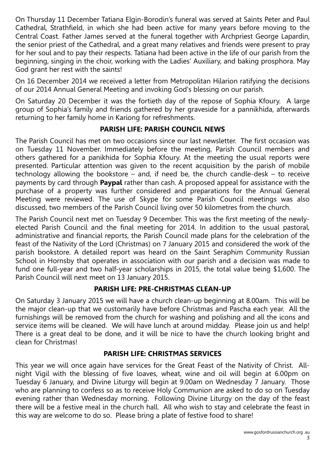On Thursday 11 December Tatiana Elgin-Borodin's funeral was served at Saints Peter and Paul Cathedral, Strathfield, in which she had been active for many years before moving to the Central Coast. Father James served at the funeral together with Archpriest George Lapardin, the senior priest of the Cathedral, and a great many relatives and friends were present to pray for her soul and to pay their respects. Tatiana had been active in the life of our parish from the beginning, singing in the choir, working with the Ladies' Auxiliary, and baking prosphora. May God grant her rest with the saints!

On 16 December 2014 we received a letter from Metropolitan Hilarion ratifying the decisions of our 2014 Annual General Meeting and invoking God's blessing on our parish.

On Saturday 20 December it was the fortieth day of the repose of Sophia Kfoury. A large group of Sophia's family and friends gathered by her graveside for a pannikhida, afterwards returning to her family home in Kariong for refreshments.

# PARISH LIFE: PARISH COUNCIL NEWS

The Parish Council has met on two occasions since our last newsletter. The first occasion was on Tuesday 11 November. Immediately before the meeting, Parish Council members and others gathered for a panikhida for Sophia Kfoury. At the meeting the usual reports were presented. Particular attention was given to the recent acquisition by the parish of mobile technology allowing the bookstore – and, if need be, the church candle-desk – to receive payments by card through **Paypal** rather than cash. A proposed appeal for assistance with the purchase of a property was further considered and preparations for the Annual General Meeting were reviewed. The use of Skype for some Parish Council meetings was also discussed, two members of the Parish Council living over 50 kilometres from the church.

The Parish Council next met on Tuesday 9 December. This was the first meeting of the newlyelected Parish Council and the final meeting for 2014. In addition to the usual pastoral, administrative and financial reports, the Parish Council made plans for the celebration of the feast of the Nativity of the Lord (Christmas) on 7 January 2015 and considered the work of the parish bookstore. A detailed report was heard on the Saint Seraphim Community Russian School in Hornsby that operates in association with our parish and a decision was made to fund one full-year and two half-year scholarships in 2015, the total value being \$1,600. The Parish Council will next meet on 13 January 2015.

# PARISH LIFE: PRE-CHRISTMAS CLEAN-UP

On Saturday 3 January 2015 we will have a church clean-up beginning at 8.00am. This will be the major clean-up that we customarily have before Christmas and Pascha each year. All the furnishings will be removed from the church for washing and polishing and all the icons and service items will be cleaned. We will have lunch at around midday. Please join us and help! There is a great deal to be done, and it will be nice to have the church looking bright and clean for Christmas!

# PARISH LIFE: CHRISTMAS SERVICES

This year we will once again have services for the Great Feast of the Nativity of Christ. Allnight Vigil with the blessing of five loaves, wheat, wine and oil will begin at 6.00pm on Tuesday 6 January, and Divine Liturgy will begin at 9.00am on Wednesday 7 January. Those who are planning to confess so as to receive Holy Communion are asked to do so on Tuesday evening rather than Wednesday morning. Following Divine Liturgy on the day of the feast there will be a festive meal in the church hall. All who wish to stay and celebrate the feast in this way are welcome to do so. Please bring a plate of festive food to share!